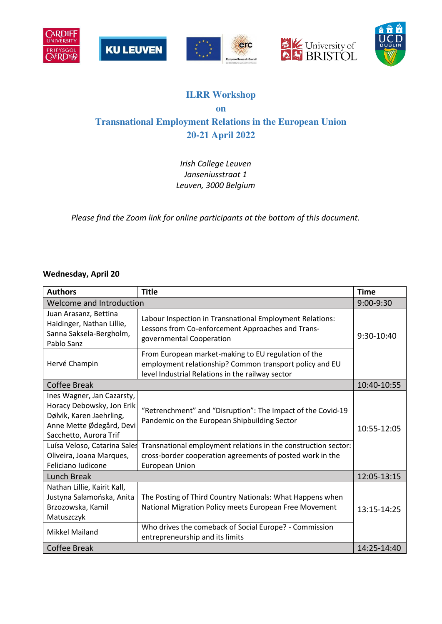









## **ILRR Workshop on Transnational Employment Relations in the European Union 20-21 April 2022**

*Irish College Leuven Janseniusstraat 1 Leuven, 3000 Belgium* 

*Please find the Zoom link for online participants at the bottom of this document.* 

## **Wednesday, April 20**

| <b>Authors</b>                                                                                                                                                                                        | <b>Title</b>                                                                                                                                                                                                                               | <b>Time</b> |
|-------------------------------------------------------------------------------------------------------------------------------------------------------------------------------------------------------|--------------------------------------------------------------------------------------------------------------------------------------------------------------------------------------------------------------------------------------------|-------------|
| Welcome and Introduction                                                                                                                                                                              |                                                                                                                                                                                                                                            |             |
| Juan Arasanz, Bettina<br>Haidinger, Nathan Lillie,<br>Sanna Saksela-Bergholm,<br>Pablo Sanz                                                                                                           | Labour Inspection in Transnational Employment Relations:<br>Lessons from Co-enforcement Approaches and Trans-<br>governmental Cooperation                                                                                                  | 9:30-10:40  |
| Hervé Champin                                                                                                                                                                                         | From European market-making to EU regulation of the<br>employment relationship? Common transport policy and EU<br>level Industrial Relations in the railway sector                                                                         |             |
| <b>Coffee Break</b>                                                                                                                                                                                   |                                                                                                                                                                                                                                            |             |
| Ines Wagner, Jan Cazarsty,<br>Horacy Debowsky, Jon Erik<br>Dølvik, Karen Jaehrling,<br>Anne Mette Ødegård, Devi<br>Sacchetto, Aurora Trif<br>Luísa Veloso, Catarina Sales<br>Oliveira, Joana Marques, | "Retrenchment" and "Disruption": The Impact of the Covid-19<br>Pandemic on the European Shipbuilding Sector<br>Transnational employment relations in the construction sector:<br>cross-border cooperation agreements of posted work in the | 10:55-12:05 |
| Feliciano Iudicone                                                                                                                                                                                    | <b>European Union</b>                                                                                                                                                                                                                      |             |
| Lunch Break                                                                                                                                                                                           |                                                                                                                                                                                                                                            | 12:05-13:15 |
| Nathan Lillie, Kairit Kall,<br>Justyna Salamońska, Anita<br>Brzozowska, Kamil<br>Matuszczyk                                                                                                           | The Posting of Third Country Nationals: What Happens when<br>National Migration Policy meets European Free Movement                                                                                                                        | 13:15-14:25 |
| <b>Mikkel Mailand</b>                                                                                                                                                                                 | Who drives the comeback of Social Europe? - Commission<br>entrepreneurship and its limits                                                                                                                                                  |             |
| Coffee Break                                                                                                                                                                                          |                                                                                                                                                                                                                                            | 14:25-14:40 |